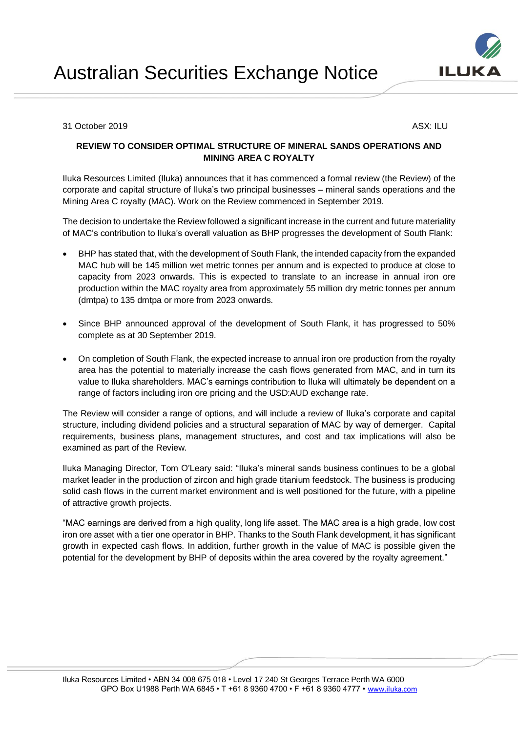

31 October 2019 ASX: ILU

STRICTLY CONFIDENTIAL

## **REVIEW TO CONSIDER OPTIMAL STRUCTURE OF MINERAL SANDS OPERATIONS AND MINING AREA C ROYALTY**

Iluka Resources Limited (Iluka) announces that it has commenced a formal review (the Review) of the corporate and capital structure of Iluka's two principal businesses – mineral sands operations and the Mining Area C royalty (MAC). Work on the Review commenced in September 2019.

The decision to undertake the Review followed a significant increase in the current and future materiality of MAC's contribution to Iluka's overall valuation as BHP progresses the development of South Flank:

- BHP has stated that, with the development of South Flank, the intended capacity from the expanded MAC hub will be 145 million wet metric tonnes per annum and is expected to produce at close to capacity from 2023 onwards. This is expected to translate to an increase in annual iron ore production within the MAC royalty area from approximately 55 million dry metric tonnes per annum (dmtpa) to 135 dmtpa or more from 2023 onwards.
- Since BHP announced approval of the development of South Flank, it has progressed to 50% complete as at 30 September 2019.
- On completion of South Flank, the expected increase to annual iron ore production from the royalty area has the potential to materially increase the cash flows generated from MAC, and in turn its value to Iluka shareholders. MAC's earnings contribution to Iluka will ultimately be dependent on a range of factors including iron ore pricing and the USD:AUD exchange rate.

The Review will consider a range of options, and will include a review of Iluka's corporate and capital structure, including dividend policies and a structural separation of MAC by way of demerger. Capital requirements, business plans, management structures, and cost and tax implications will also be examined as part of the Review.

Iluka Managing Director, Tom O'Leary said: "Iluka's mineral sands business continues to be a global market leader in the production of zircon and high grade titanium feedstock. The business is producing solid cash flows in the current market environment and is well positioned for the future, with a pipeline of attractive growth projects.

"MAC earnings are derived from a high quality, long life asset. The MAC area is a high grade, low cost iron ore asset with a tier one operator in BHP. Thanks to the South Flank development, it has significant growth in expected cash flows. In addition, further growth in the value of MAC is possible given the potential for the development by BHP of deposits within the area covered by the royalty agreement."